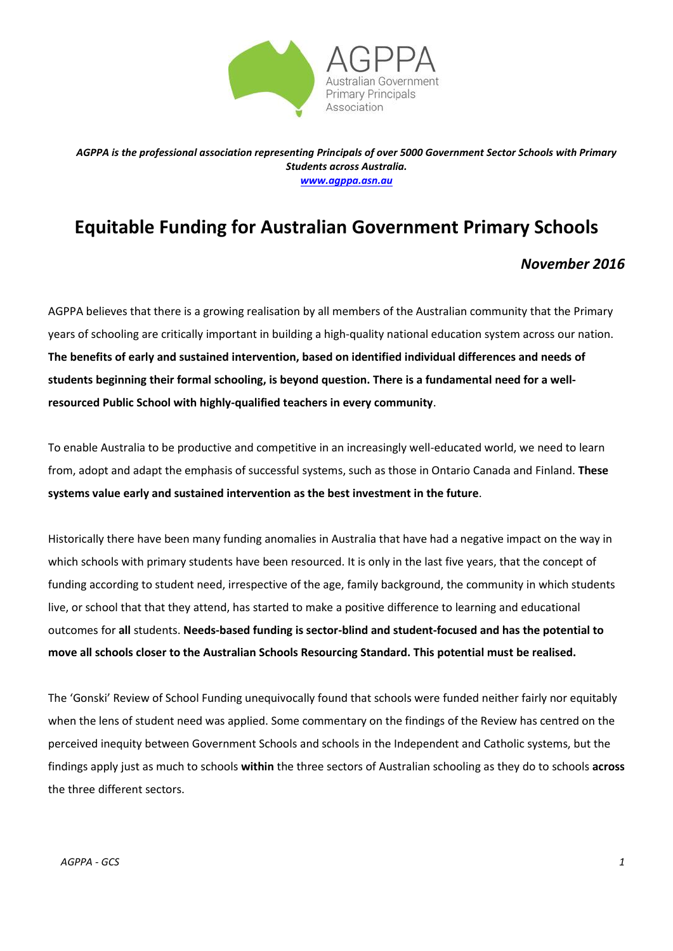

*AGPPA is the professional association representing Principals of over 5000 Government Sector Schools with Primary Students across Australia. [www.agppa.asn.au](http://www.agppa.asn.au/)*

## **Equitable Funding for Australian Government Primary Schools**

## *November 2016*

AGPPA believes that there is a growing realisation by all members of the Australian community that the Primary years of schooling are critically important in building a high-quality national education system across our nation. **The benefits of early and sustained intervention, based on identified individual differences and needs of students beginning their formal schooling, is beyond question. There is a fundamental need for a wellresourced Public School with highly-qualified teachers in every community**.

To enable Australia to be productive and competitive in an increasingly well-educated world, we need to learn from, adopt and adapt the emphasis of successful systems, such as those in Ontario Canada and Finland. **These systems value early and sustained intervention as the best investment in the future**.

Historically there have been many funding anomalies in Australia that have had a negative impact on the way in which schools with primary students have been resourced. It is only in the last five years, that the concept of funding according to student need, irrespective of the age, family background, the community in which students live, or school that that they attend, has started to make a positive difference to learning and educational outcomes for **all** students. **Needs-based funding is sector-blind and student-focused and has the potential to move all schools closer to the Australian Schools Resourcing Standard. This potential must be realised.**

The 'Gonski' Review of School Funding unequivocally found that schools were funded neither fairly nor equitably when the lens of student need was applied. Some commentary on the findings of the Review has centred on the perceived inequity between Government Schools and schools in the Independent and Catholic systems, but the findings apply just as much to schools **within** the three sectors of Australian schooling as they do to schools **across** the three different sectors.